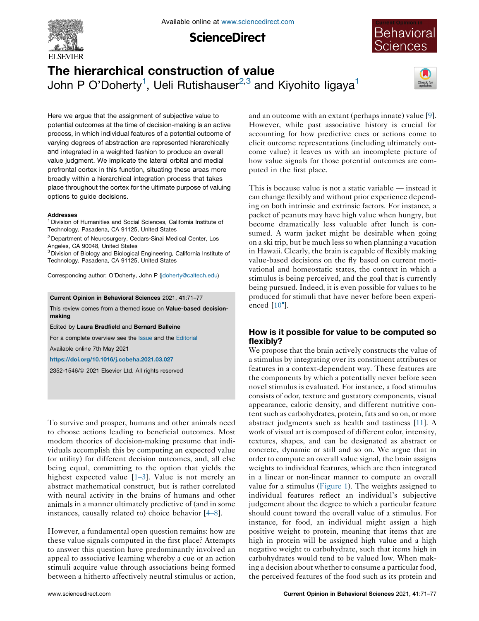

**ScienceDirect** 



# The hierarchical construction of value John P O'Doherty<sup>1</sup>, Ueli Rutishauser<sup>2,3</sup> and Kiyohito ligaya<sup>1</sup>



Here we argue that the assignment of subjective value to potential outcomes at the time of decision-making is an active process, in which individual features of a potential outcome of varying degrees of abstraction are represented hierarchically and integrated in a weighted fashion to produce an overall value judgment. We implicate the lateral orbital and medial prefrontal cortex in this function, situating these areas more broadly within a hierarchical integration process that takes place throughout the cortex for the ultimate purpose of valuing options to guide decisions.

#### Addresses

<sup>1</sup> Division of Humanities and Social Sciences, California Institute of Technology, Pasadena, CA 91125, United States

<sup>2</sup> Department of Neurosurgery, Cedars-Sinai Medical Center, Los Angeles, CA 90048, United States

<sup>3</sup> Division of Biology and Biological Engineering, California Institute of Technology, Pasadena, CA 91125, United States

Corresponding author: O'Doherty, John P [\(jdoherty@caltech.edu](mailto:jdoherty@caltech.edu))

Current Opinion in Behavioral Sciences 2021, 41:71–77

This review comes from a themed issue on Value-based decisionmaking

Edited by Laura Bradfield and Bernard Balleine

For a complete overview see the **[Issue](http://www.sciencedirect.com/science/journal/23521546/41)** and the [Editorial](https://doi.org/10.1016/j.cobeha.2021.09.003)

Available online 7th May 2021

<https://doi.org/10.1016/j.cobeha.2021.03.027>

2352-1546/ã 2021 Elsevier Ltd. All rights reserved

To survive and prosper, humans and other animals need to choose actions leading to beneficial outcomes. Most modern theories of decision-making presume that individuals accomplish this by computing an expected value (or utility) for different decision outcomes, and, all else being equal, committing to the option that yields the highest expected value [[1–3\]](#page-5-0). Value is not merely an abstract mathematical construct, but is rather correlated with neural activity in the brains of humans and other animals in a manner ultimately predictive of (and in some instances, causally related to) choice behavior [[4–8\]](#page-5-0).

However, a fundamental open question remains: how are these value signals computed in the first place? Attempts to answer this question have predominantly involved an appeal to associative learning whereby a cue or an action stimuli acquire value through associations being formed between a hitherto affectively neutral stimulus or action, and an outcome with an extant (perhaps innate) value [[9\]](#page-5-0). However, while past associative history is crucial for accounting for how predictive cues or actions come to elicit outcome representations (including ultimately outcome value) it leaves us with an incomplete picture of how value signals for those potential outcomes are computed in the first place.

This is because value is not a static variable — instead it can change flexibly and without prior experience depending on both intrinsic and extrinsic factors. For instance, a packet of peanuts may have high value when hungry, but become dramatically less valuable after lunch is consumed. A warm jacket might be desirable when going on a ski trip, but be much less so when planning a vacation in Hawaii. Clearly, the brain is capable of flexibly making value-based decisions on the fly based on current motivational and homeostatic states, the context in which a stimulus is being perceived, and the goal that is currently being pursued. Indeed, it is even possible for values to be produced for stimuli that have never before been experienced  $[10^{\circ}].$  $[10^{\circ}].$ 

# How is it possible for value to be computed so flexibly?

We propose that the brain actively constructs the value of a stimulus by integrating over its constituent attributes or features in a context-dependent way. These features are the components by which a potentially never before seen novel stimulus is evaluated. For instance, a food stimulus consists of odor, texture and gustatory components, visual appearance, caloric density, and different nutritive content such as carbohydrates, protein, fats and so on, or more abstract judgments such as health and tastiness [\[11](#page-5-0)]. A work of visual art is composed of different color, intensity, textures, shapes, and can be designated as abstract or concrete, dynamic or still and so on. We argue that in order to compute an overall value signal, the brain assigns weights to individual features, which are then integrated in a linear or non-linear manner to compute an overall value for a stimulus ([Figure](#page-1-0) 1). The weights assigned to individual features reflect an individual's subjective judgement about the degree to which a particular feature should count toward the overall value of a stimulus. For instance, for food, an individual might assign a high positive weight to protein, meaning that items that are high in protein will be assigned high value and a high negative weight to carbohydrate, such that items high in carbohydrates would tend to be valued low. When making a decision about whether to consume a particular food, the perceived features of the food such as its protein and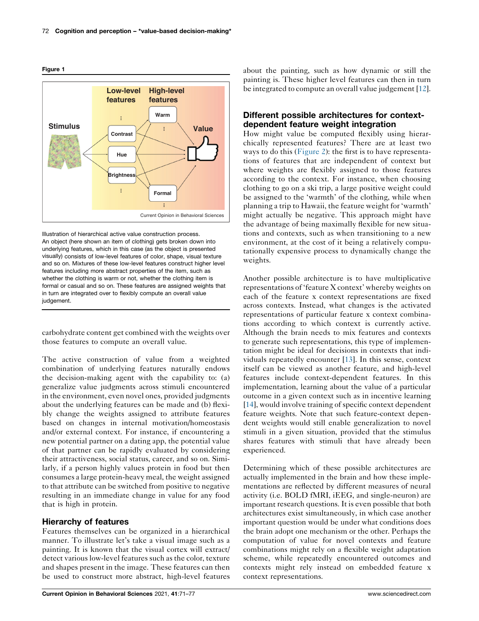<span id="page-1-0"></span>



Illustration of hierarchical active value construction process. An object (here shown an item of clothing) gets broken down into underlying features, which in this case (as the object is presented visually) consists of low-level features of color, shape, visual texture and so on. Mixtures of these low-level features construct higher level features including more abstract properties of the item, such as whether the clothing is warm or not, whether the clothing item is formal or casual and so on. These features are assigned weights that in turn are integrated over to flexibly compute an overall value judgement.

carbohydrate content get combined with the weights over those features to compute an overall value.

The active construction of value from a weighted combination of underlying features naturally endows the decision-making agent with the capability to: (a) generalize value judgments across stimuli encountered in the environment, even novel ones, provided judgments about the underlying features can be made and (b) flexibly change the weights assigned to attribute features based on changes in internal motivation/homeostasis and/or external context. For instance, if encountering a new potential partner on a dating app, the potential value of that partner can be rapidly evaluated by considering their attractiveness, social status, career, and so on. Similarly, if a person highly values protein in food but then consumes a large protein-heavy meal, the weight assigned to that attribute can be switched from positive to negative resulting in an immediate change in value for any food that is high in protein.

### Hierarchy of features

Features themselves can be organized in a hierarchical manner. To illustrate let's take a visual image such as a painting. It is known that the visual cortex will extract/ detect various low-level features such as the color, texture and shapes present in the image. These features can then be used to construct more abstract, high-level features

about the painting, such as how dynamic or still the painting is. These higher level features can then in turn be integrated to compute an overall value judgement [[12](#page-5-0)].

## Different possible architectures for contextdependent feature weight integration

How might value be computed flexibly using hierarchically represented features? There are at least two ways to do this [\(Figure](#page-2-0) 2): the first is to have representations of features that are independent of context but where weights are flexibly assigned to those features according to the context. For instance, when choosing clothing to go on a ski trip, a large positive weight could be assigned to the 'warmth' of the clothing, while when planning a trip to Hawaii, the feature weight for 'warmth' might actually be negative. This approach might have the advantage of being maximally flexible for new situations and contexts, such as when transitioning to a new environment, at the cost of it being a relatively computationally expensive process to dynamically change the weights.

Another possible architecture is to have multiplicative representations of 'feature X context' whereby weights on each of the feature x context representations are fixed across contexts. Instead, what changes is the activated representations of particular feature x context combinations according to which context is currently active. Although the brain needs to mix features and contexts to generate such representations, this type of implementation might be ideal for decisions in contexts that individuals repeatedly encounter [\[13](#page-5-0)]. In this sense, context itself can be viewed as another feature, and high-level features include context-dependent features. In this implementation, learning about the value of a particular outcome in a given context such as in incentive learning [\[14](#page-5-0)], would involve training of specific context dependent feature weights. Note that such feature-context dependent weights would still enable generalization to novel stimuli in a given situation, provided that the stimulus shares features with stimuli that have already been experienced.

Determining which of these possible architectures are actually implemented in the brain and how these implementations are reflected by different measures of neural activity (i.e. BOLD fMRI, iEEG, and single-neuron) are important research questions. It is even possible that both architectures exist simultaneously, in which case another important question would be under what conditions does the brain adopt one mechanism or the other. Perhaps the computation of value for novel contexts and feature combinations might rely on a flexible weight adaptation scheme, while repeatedly encountered outcomes and contexts might rely instead on embedded feature x context representations.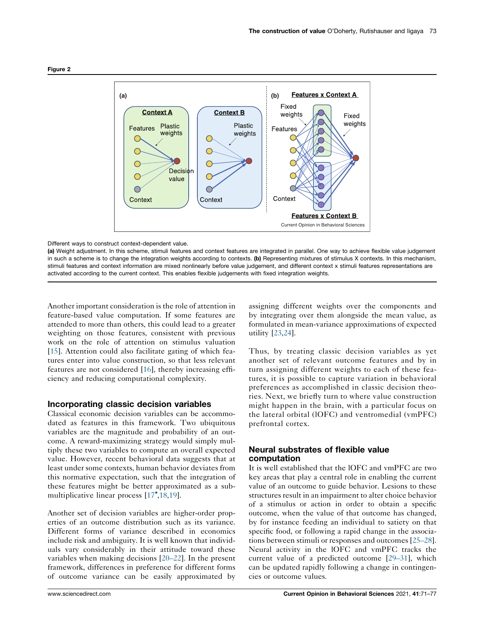

<span id="page-2-0"></span>Figure 2

Different ways to construct context-dependent value.

(a) Weight adjustment. In this scheme, stimuli features and context features are integrated in parallel. One way to achieve flexible value judgement in such a scheme is to change the integration weights according to contexts. (b) Representing mixtures of stimulus X contexts. In this mechanism, stimuli features and context information are mixed nonlinearly before value judgement, and different context x stimuli features representations are activated according to the current context. This enables flexible judgements with fixed integration weights.

Another important consideration is the role of attention in feature-based value computation. If some features are attended to more than others, this could lead to a greater weighting on those features, consistent with previous work on the role of attention on stimulus valuation [\[15](#page-5-0)]. Attention could also facilitate gating of which features enter into value construction, so that less relevant features are not considered [\[16](#page-5-0)], thereby increasing efficiency and reducing computational complexity.

### Incorporating classic decision variables

Classical economic decision variables can be accommodated as features in this framework. Two ubiquitous variables are the magnitude and probability of an outcome. A reward-maximizing strategy would simply multiply these two variables to compute an overall expected value. However, recent behavioral data suggests that at least under some contexts, human behavior deviates from this normative expectation, such that the integration of these features might be better approximated as a sub-multiplicative linear process [\[17](#page-5-0)<sup>°</sup>,[18,19](#page-5-0)].

Another set of decision variables are higher-order properties of an outcome distribution such as its variance. Different forms of variance described in economics include risk and ambiguity. It is well known that individuals vary considerably in their attitude toward these variables when making decisions [[20–22\]](#page-5-0). In the present framework, differences in preference for different forms of outcome variance can be easily approximated by assigning different weights over the components and by integrating over them alongside the mean value, as formulated in mean-variance approximations of expected utility [\[23](#page-5-0),[24\]](#page-5-0).

Thus, by treating classic decision variables as yet another set of relevant outcome features and by in turn assigning different weights to each of these features, it is possible to capture variation in behavioral preferences as accomplished in classic decision theories. Next, we briefly turn to where value construction might happen in the brain, with a particular focus on the lateral orbital (lOFC) and ventromedial (vmPFC) prefrontal cortex.

## Neural substrates of flexible value computation

It is well established that the lOFC and vmPFC are two key areas that play a central role in enabling the current value of an outcome to guide behavior. Lesions to these structures result in an impairment to alter choice behavior of a stimulus or action in order to obtain a specific outcome, when the value of that outcome has changed, by for instance feeding an individual to satiety on that specific food, or following a rapid change in the associations between stimuli or responses and outcomes [[25–28\]](#page-5-0). Neural activity in the lOFC and vmPFC tracks the current value of a predicted outcome [[29–31\]](#page-6-0), which can be updated rapidly following a change in contingencies or outcome values.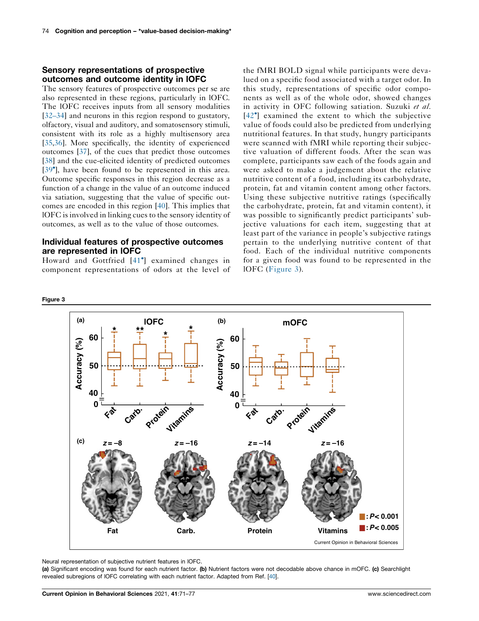## Sensory representations of prospective outcomes and outcome identity in lOFC

The sensory features of prospective outcomes per se are also represented in these regions, particularly in lOFC. The lOFC receives inputs from all sensory modalities [\[32–34](#page-6-0)] and neurons in this region respond to gustatory, olfactory, visual and auditory, and somatosensory stimuli, consistent with its role as a highly multisensory area [\[35](#page-6-0),[36\]](#page-6-0). More specifically, the identity of experienced outcomes [\[37](#page-6-0)], of the cues that predict those outcomes [\[38](#page-6-0)] and the cue-elicited identity of predicted outcomes [\[39](#page-6-0)<sup>\*</sup>], have been found to be represented in this area. Outcome specific responses in this region decrease as a function of a change in the value of an outcome induced via satiation, suggesting that the value of specific outcomes are encoded in this region [\[40](#page-6-0)]. This implies that lOFC is involved in linking cues to the sensory identity of outcomes, as well as to the value of those outcomes.

## Individual features of prospective outcomes are represented in lOFC

Howard and Gottfried [[41](#page-6-0) ] examined changes in component representations of odors at the level of

Figure 3

the fMRI BOLD signal while participants were devalued on a specific food associated with a target odor. In this study, representations of specific odor components as well as of the whole odor, showed changes in activity in OFC following satiation. Suzuki et al. [[42](#page-6-0) ] examined the extent to which the subjective value of foods could also be predicted from underlying nutritional features. In that study, hungry participants were scanned with fMRI while reporting their subjective valuation of different foods. After the scan was complete, participants saw each of the foods again and were asked to make a judgement about the relative nutritive content of a food, including its carbohydrate, protein, fat and vitamin content among other factors. Using these subjective nutritive ratings (specifically the carbohydrate, protein, fat and vitamin content), it was possible to significantly predict participants' subjective valuations for each item, suggesting that at least part of the variance in people's subjective ratings pertain to the underlying nutritive content of that food. Each of the individual nutritive components for a given food was found to be represented in the lOFC (Figure 3).

#### **(a) (b)lOFC mOFC \* \*\* \* \* <sup>60</sup> 60** Accuracy (%) **Accuracy (%)** Accuracy (%) **Accuracy (%) 50 50 40 40 0 Protein 0 Protein** Carb. **Fat Fat** Cato. **Vitami Vitami** *z* **= –8** *z* **= –16** *z* **= –14** *z* **= –16 (c) :** *P* **< 0.001 :** *P* **< 0.005 Fat Carb. Protein Vitamins** Current Opinion in Behavioral Sciences

Neural representation of subjective nutrient features in lOFC.

(a) Significant encoding was found for each nutrient factor. (b) Nutrient factors were not decodable above chance in mOFC. (c) Searchlight revealed subregions of lOFC correlating with each nutrient factor. Adapted from Ref. [\[40\]](#page-6-0).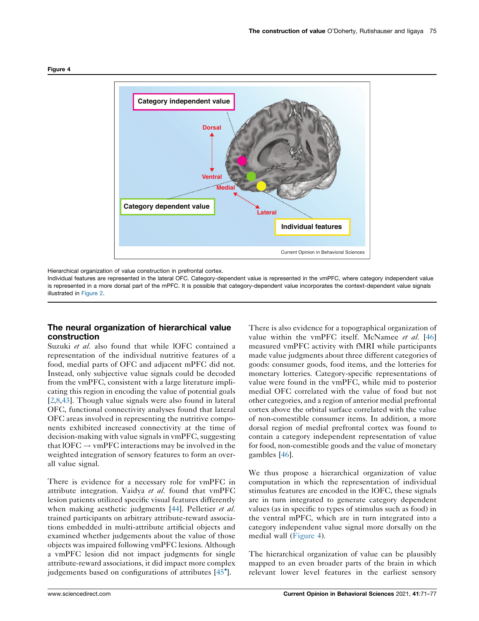

Figure 4

Hierarchical organization of value construction in prefrontal cortex.

Individual features are represented in the lateral OFC. Category-dependent value is represented in the vmPFC, where category independent value is represented in a more dorsal part of the mPFC. It is possible that category-dependent value incorporates the context-dependent value signals illustrated in [Figure](#page-2-0) 2.

## The neural organization of hierarchical value construction

Suzuki et al. also found that while IOFC contained a representation of the individual nutritive features of a food, medial parts of OFC and adjacent mPFC did not. Instead, only subjective value signals could be decoded from the vmPFC, consistent with a large literature implicating this region in encoding the value of potential goals [\[2](#page-5-0),[8](#page-5-0)[,43](#page-6-0)]. Though value signals were also found in lateral OFC, functional connectivity analyses found that lateral OFC areas involved in representing the nutritive components exhibited increased connectivity at the time of decision-making with value signals in vmPFC, suggesting that  $10FC \rightarrow$  vmPFC interactions may be involved in the weighted integration of sensory features to form an overall value signal.

There is evidence for a necessary role for vmPFC in attribute integration. Vaidya et al. found that vmPFC lesion patients utilized specific visual features differently when making aesthetic judgments [\[44](#page-6-0)]. Pelletier *et al.* trained participants on arbitrary attribute-reward associations embedded in multi-attribute artificial objects and examined whether judgements about the value of those objects was impaired following vmPFC lesions. Although a vmPFC lesion did not impact judgments for single attribute-reward associations, it did impact more complex judgements based on configurations of attributes [[45](#page-6-0)<sup>°</sup>].

There is also evidence for a topographical organization of value within the vmPFC itself. McNamee et al. [\[46](#page-6-0)] measured vmPFC activity with fMRI while participants made value judgments about three different categories of goods: consumer goods, food items, and the lotteries for monetary lotteries. Category-specific representations of value were found in the vmPFC, while mid to posterior medial OFC correlated with the value of food but not other categories, and a region of anterior medial prefrontal cortex above the orbital surface correlated with the value of non-comestible consumer items. In addition, a more dorsal region of medial prefrontal cortex was found to contain a category independent representation of value for food, non-comestible goods and the value of monetary gambles [[46\]](#page-6-0).

We thus propose a hierarchical organization of value computation in which the representation of individual stimulus features are encoded in the lOFC, these signals are in turn integrated to generate category dependent values (as in specific to types of stimulus such as food) in the ventral mPFC, which are in turn integrated into a category independent value signal more dorsally on the medial wall (Figure 4).

The hierarchical organization of value can be plausibly mapped to an even broader parts of the brain in which relevant lower level features in the earliest sensory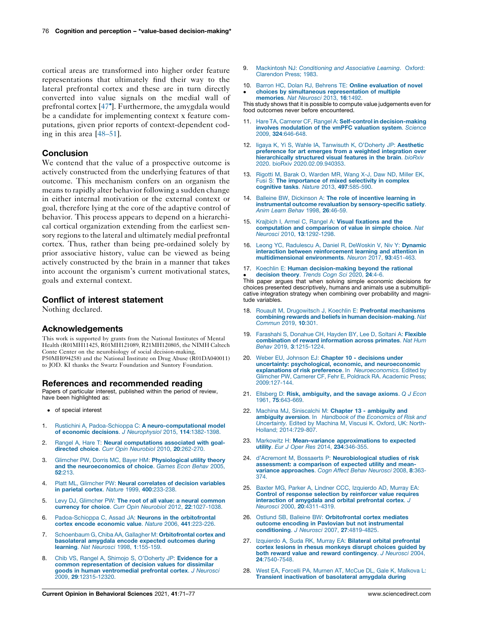<span id="page-5-0"></span>cortical areas are transformed into higher order feature representations that ultimately find their way to the lateral prefrontal cortex and these are in turn directly converted into value signals on the medial wall of prefrontal cortex [\[47](#page-6-0) ]. Furthermore, the amygdala would be a candidate for implementing context x feature computations, given prior reports of context-dependent coding in this area [[48–51\]](#page-6-0).

## **Conclusion**

We contend that the value of a prospective outcome is actively constructed from the underlying features of that outcome. This mechanism confers on an organism the means to rapidly alter behavior following a sudden change in either internal motivation or the external context or goal, therefore lying at the core of the adaptive control of behavior. This process appears to depend on a hierarchical cortical organization extending from the earliest sensory regions to the lateral and ultimately medial prefrontal cortex. Thus, rather than being pre-ordained solely by prior associative history, value can be viewed as being actively constructed by the brain in a manner that takes into account the organism's current motivational states, goals and external context.

#### Conflict of interest statement

Nothing declared.

#### Acknowledgements

This work is supported by grants from the National Institutes of Mental Health (R01MH11425, R01MH121089, R21MH120805, the NIMH Caltech Conte Center on the neurobiology of social decision-making, P50MH094258) and the National Institute on Drug Abuse (R01DA040011) to JOD. KI thanks the Swartz Foundation and Suntory Foundation.

#### References and recommended reading

Papers of particular interest, published within the period of review, have been highlighted as:

- of special interest
- 1. Rustichini A, Padoa-Schioppa C: A [neuro-computational](http://refhub.elsevier.com/S2352-1546(21)00075-9/sbref0005) model of economic decisions. J [Neurophysiol](http://refhub.elsevier.com/S2352-1546(21)00075-9/sbref0005) 2015, 114:1382-1398.
- 2. Rangel A, Hare T: Neural [computations](http://refhub.elsevier.com/S2352-1546(21)00075-9/sbref0010) associated with goaldirected choice. Curr Opin [Neurobiol](http://refhub.elsevier.com/S2352-1546(21)00075-9/sbref0010) 2010, 20:262-270.
- 3. Glimcher PW, Dorris MC, Bayer HM: [Physiological](http://refhub.elsevier.com/S2352-1546(21)00075-9/sbref0015) utility theory and the [neuroeconomics](http://refhub.elsevier.com/S2352-1546(21)00075-9/sbref0015) of choice. Games Econ Behav 2005, 52[:213.](http://refhub.elsevier.com/S2352-1546(21)00075-9/sbref0015)
- 4. Platt ML, Glimcher PW: Neural [correlates](http://refhub.elsevier.com/S2352-1546(21)00075-9/sbref0020) of decision variables in parietal cortex. Nature 1999, 400[:233-238.](http://refhub.elsevier.com/S2352-1546(21)00075-9/sbref0020)
- 5. Levy DJ, Glimcher PW: The root of all value: a neural [common](http://refhub.elsevier.com/S2352-1546(21)00075-9/sbref0025) currency for choice. Curr Opin Neurobiol 2012, 22[:1027-1038.](http://refhub.elsevier.com/S2352-1546(21)00075-9/sbref0025)
- 6. [Padoa-Schioppa](http://refhub.elsevier.com/S2352-1546(21)00075-9/sbref0030) C, Assad JA: Neurons in the orbitofrontal cortex encode [economic](http://refhub.elsevier.com/S2352-1546(21)00075-9/sbref0030) value. Nature 2006, 441:223-226.
- 7. Schoenbaum G, Chiba AA, Gallagher M: [Orbitofrontal](http://refhub.elsevier.com/S2352-1546(21)00075-9/sbref0035) cortex and [basolateral](http://refhub.elsevier.com/S2352-1546(21)00075-9/sbref0035) amygdala encode expected outcomes during learning. Nat Neurosci 1998, 1[:155-159.](http://refhub.elsevier.com/S2352-1546(21)00075-9/sbref0035)
- 8. Chib VS, Rangel A, Shimojo S, [O'Doherty](http://refhub.elsevier.com/S2352-1546(21)00075-9/sbref0040) JP: Evidence for a common [representation](http://refhub.elsevier.com/S2352-1546(21)00075-9/sbref0040) of decision values for dissimilar goods in human [ventromedial](http://refhub.elsevier.com/S2352-1546(21)00075-9/sbref0040) prefrontal cortex. J Neurosci 2009, 29[:12315-12320.](http://refhub.elsevier.com/S2352-1546(21)00075-9/sbref0040)
- 9. Mackintosh NJ: [Conditioning](http://refhub.elsevier.com/S2352-1546(21)00075-9/sbref0045) and Associative Learning. Oxford: [Clarendon](http://refhub.elsevier.com/S2352-1546(21)00075-9/sbref0045) Press; 1983.
- 10. Barron HC, Dolan RJ, Behrens TE: Online [evaluation](http://refhub.elsevier.com/S2352-1546(21)00075-9/sbref0050) of novel  $\cdot$ choices by simultaneous [representation](http://refhub.elsevier.com/S2352-1546(21)00075-9/sbref0050) of multiple [memories](http://refhub.elsevier.com/S2352-1546(21)00075-9/sbref0050). Nat Neurosci 2013, 16:1492.

This study shows that it is possible to compute value judgements even for food outcomes never before encountered.

- 11. Hare TA, Camerer CF, Rangel A: Self-control in [decision-making](http://refhub.elsevier.com/S2352-1546(21)00075-9/sbref0055) involves [modulation](http://refhub.elsevier.com/S2352-1546(21)00075-9/sbref0055) of the vmPFC valuation system. Science 2009, 324[:646-648.](http://refhub.elsevier.com/S2352-1546(21)00075-9/sbref0055)
- 12. Iigaya K, Yi S, Wahle IA, [Tanwisuth](http://refhub.elsevier.com/S2352-1546(21)00075-9/sbref0060) K, O'Doherty JP: Aesthetic preference for art emerges from a weighted [integration](http://refhub.elsevier.com/S2352-1546(21)00075-9/sbref0060) over [hierarchically](http://refhub.elsevier.com/S2352-1546(21)00075-9/sbref0060) structured visual features in the brain. bioRxiv 2020. bioRxiv [2020.02.09.940353.](http://refhub.elsevier.com/S2352-1546(21)00075-9/sbref0060)
- 13. Rigotti M, Barak O, [Warden](http://refhub.elsevier.com/S2352-1546(21)00075-9/sbref0065) MR, Wang X-J, Daw ND, Miller EK, Fusi S: The [importance](http://refhub.elsevier.com/S2352-1546(21)00075-9/sbref0065) of mixed selectivity in complex cognitive tasks. Nature 2013, 497[:585-590.](http://refhub.elsevier.com/S2352-1546(21)00075-9/sbref0065)
- 14. Balleine BW, [Dickinson](http://refhub.elsevier.com/S2352-1546(21)00075-9/sbref0070) A: The role of incentive learning in instrumental outcome revaluation by [sensory-specific](http://refhub.elsevier.com/S2352-1546(21)00075-9/sbref0070) satiety. Anim Learn Behav 1998, 26[:46-59.](http://refhub.elsevier.com/S2352-1546(21)00075-9/sbref0070)
- 15. Krajbich I, Armel C, Rangel A: Visual [fixations](http://refhub.elsevier.com/S2352-1546(21)00075-9/sbref0075) and the [computation](http://refhub.elsevier.com/S2352-1546(21)00075-9/sbref0075) and comparison of value in simple choice. Nat Neurosci 2010, 13[:1292-1298.](http://refhub.elsevier.com/S2352-1546(21)00075-9/sbref0075)
- 16. Leong YC, [Radulescu](http://refhub.elsevier.com/S2352-1546(21)00075-9/sbref0080) A, Daniel R, DeWoskin V, Niv Y: Dynamic interaction between [reinforcement](http://refhub.elsevier.com/S2352-1546(21)00075-9/sbref0080) learning and attention in [multidimensional](http://refhub.elsevier.com/S2352-1546(21)00075-9/sbref0080) environments. Neuron 2017, 93:451-463.
- 17. Koechlin E: Human [decision-making](http://refhub.elsevier.com/S2352-1546(21)00075-9/sbref0085) beyond the rational [decision](http://refhub.elsevier.com/S2352-1546(21)00075-9/sbref0085) theory. Trends Cogn Sci 2020, 24:4-6.

• **aecision theory**. Trends Cogn Scr 2020, **24**:4-6.<br>This paper argues that when solving simple economic decisions for choices presented descriptively, humans and animals use a submultiplicative integration strategy when combining over probability and magnitude variables.

- 18. Rouault M, Drugowitsch J, Koechlin E: Prefrontal [mechanisms](http://refhub.elsevier.com/S2352-1546(21)00075-9/sbref0090) combining rewards and beliefs in human [decision-making](http://refhub.elsevier.com/S2352-1546(21)00075-9/sbref0090). Nat [Commun](http://refhub.elsevier.com/S2352-1546(21)00075-9/sbref0090) 2019, 10:301.
- 19. [Farashahi](http://refhub.elsevier.com/S2352-1546(21)00075-9/sbref0095) S, Donahue CH, Hayden BY, Lee D, Soltani A: Flexible [combination](http://refhub.elsevier.com/S2352-1546(21)00075-9/sbref0095) of reward information across primates. Nat Hum Behav 2019, 3[:1215-1224.](http://refhub.elsevier.com/S2352-1546(21)00075-9/sbref0095)
- 20. Weber EU, Johnson EJ: Chapter 10 [decisions](http://refhub.elsevier.com/S2352-1546(21)00075-9/sbref0100) under uncertainty: psychological, economic, and [neuroeconomic](http://refhub.elsevier.com/S2352-1546(21)00075-9/sbref0100) explanations of risk preference. In [Neuroeconomics.](http://refhub.elsevier.com/S2352-1546(21)00075-9/sbref0100) Edited by Glimcher PW, Camerer CF, Fehr E, Poldrack RA. [Academic](http://refhub.elsevier.com/S2352-1546(21)00075-9/sbref0100) Press; [2009:127-144.](http://refhub.elsevier.com/S2352-1546(21)00075-9/sbref0100)
- 21. Ellsberg D: Risk, [ambiguity,](http://refhub.elsevier.com/S2352-1546(21)00075-9/sbref0105) and the savage axioms. Q J Econ 1961, 75[:643-669.](http://refhub.elsevier.com/S2352-1546(21)00075-9/sbref0105)
- 22. Machina MJ, [Siniscalchi](http://refhub.elsevier.com/S2352-1546(21)00075-9/sbref0110) M: Chapter 13 ambiguity and ambiguity aversion. In Handbook of the [Economics](http://refhub.elsevier.com/S2352-1546(21)00075-9/sbref0110) of Risk and [Uncertainty.](http://refhub.elsevier.com/S2352-1546(21)00075-9/sbref0110) Edited by Machina M, Viscusi K. Oxford, UK: North-Holland; [2014:729-807.](http://refhub.elsevier.com/S2352-1546(21)00075-9/sbref0110)
- 23. Markowitz H: Mean–variance [approximations](http://refhub.elsevier.com/S2352-1546(21)00075-9/sbref0115) to expected utility. Eur J Oper Res 2014, 234[:346-355.](http://refhub.elsevier.com/S2352-1546(21)00075-9/sbref0115)
- 24. d'Acremont M, Bossaerts P: [Neurobiological](http://refhub.elsevier.com/S2352-1546(21)00075-9/sbref0120) studies of risk [assessment:](http://refhub.elsevier.com/S2352-1546(21)00075-9/sbref0120) a comparison of expected utility and meanvariance [approaches](http://refhub.elsevier.com/S2352-1546(21)00075-9/sbref0120). Cogn Affect Behav Neurosci 2008, 8:363- [374.](http://refhub.elsevier.com/S2352-1546(21)00075-9/sbref0120)
- 25. Baxter MG, Parker A, Lindner CCC, [Izquierdo](http://refhub.elsevier.com/S2352-1546(21)00075-9/sbref0125) AD, Murray EA: Control of response selection by [reinforcer](http://refhub.elsevier.com/S2352-1546(21)00075-9/sbref0125) value requires [interaction](http://refhub.elsevier.com/S2352-1546(21)00075-9/sbref0125) of amygdala and orbital prefrontal cortex. J Neurosci 2000, 20[:4311-4319.](http://refhub.elsevier.com/S2352-1546(21)00075-9/sbref0125)
- 26. Ostlund SB, Balleine BW: [Orbitofrontal](http://refhub.elsevier.com/S2352-1546(21)00075-9/sbref0130) cortex mediates outcome encoding in Pavlovian but not [instrumental](http://refhub.elsevier.com/S2352-1546(21)00075-9/sbref0130) [conditioning](http://refhub.elsevier.com/S2352-1546(21)00075-9/sbref0130). J Neurosci 2007, 27:4819-4825.
- 27. Izquierdo A, Suda RK, Murray EA: Bilateral orbital [prefrontal](http://refhub.elsevier.com/S2352-1546(21)00075-9/sbref0135) cortex lesions in rhesus [monkeys](http://refhub.elsevier.com/S2352-1546(21)00075-9/sbref0135) disrupt choices guided by both reward value and reward [contingency](http://refhub.elsevier.com/S2352-1546(21)00075-9/sbref0135). J Neurosci 2004, 24[:7540-7548.](http://refhub.elsevier.com/S2352-1546(21)00075-9/sbref0135)
- 28. West EA, Forcelli PA, Murnen AT, McCue DL, Gale K, [Malkova](http://refhub.elsevier.com/S2352-1546(21)00075-9/sbref0140) L: Transient [inactivation](http://refhub.elsevier.com/S2352-1546(21)00075-9/sbref0140) of basolateral amygdala during